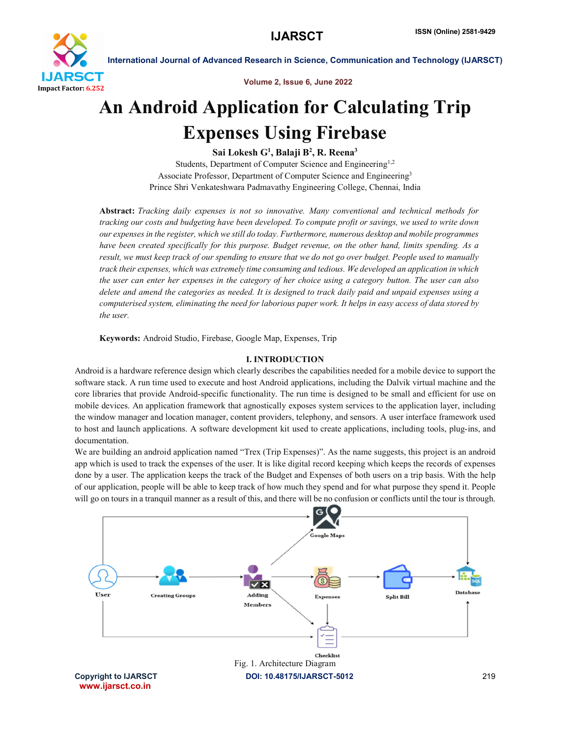

Volume 2, Issue 6, June 2022

## An Android Application for Calculating Trip Expenses Using Firebase

Sai Lokesh G<sup>1</sup>, Balaji B<sup>2</sup>, R. Reena<sup>3</sup>

Students, Department of Computer Science and Engineering<sup>1,2</sup> Associate Professor, Department of Computer Science and Engineering3 Prince Shri Venkateshwara Padmavathy Engineering College, Chennai, India

Abstract: *Tracking daily expenses is not so innovative. Many conventional and technical methods for tracking our costs and budgeting have been developed. To compute profit or savings, we used to write down our expenses in the register, which we still do today. Furthermore, numerous desktop and mobile programmes have been created specifically for this purpose. Budget revenue, on the other hand, limits spending. As a result, we must keep track of our spending to ensure that we do not go over budget. People used to manually track their expenses, which was extremely time consuming and tedious. We developed an application in which the user can enter her expenses in the category of her choice using a category button. The user can also delete and amend the categories as needed. It is designed to track daily paid and unpaid expenses using a computerised system, eliminating the need for laborious paper work. It helps in easy access of data stored by the user.*

Keywords: Android Studio, Firebase, Google Map, Expenses, Trip

### I. INTRODUCTION

Android is a hardware reference design which clearly describes the capabilities needed for a mobile device to support the software stack. A run time used to execute and host Android applications, including the Dalvik virtual machine and the core libraries that provide Android-specific functionality. The run time is designed to be small and efficient for use on mobile devices. An application framework that agnostically exposes system services to the application layer, including the window manager and location manager, content providers, telephony, and sensors. A user interface framework used to host and launch applications. A software development kit used to create applications, including tools, plug-ins, and documentation.

We are building an android application named "Trex (Trip Expenses)". As the name suggests, this project is an android app which is used to track the expenses of the user. It is like digital record keeping which keeps the records of expenses done by a user. The application keeps the track of the Budget and Expenses of both users on a trip basis. With the help of our application, people will be able to keep track of how much they spend and for what purpose they spend it. People will go on tours in a tranquil manner as a result of this, and there will be no confusion or conflicts until the tour is through.

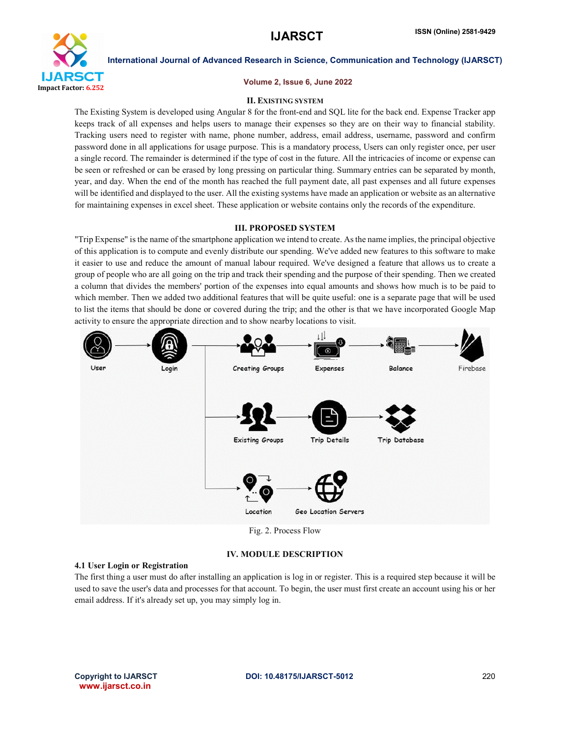

### Volume 2, Issue 6, June 2022

### II. EXISTING SYSTEM

The Existing System is developed using Angular 8 for the front-end and SQL lite for the back end. Expense Tracker app keeps track of all expenses and helps users to manage their expenses so they are on their way to financial stability. Tracking users need to register with name, phone number, address, email address, username, password and confirm password done in all applications for usage purpose. This is a mandatory process, Users can only register once, per user a single record. The remainder is determined if the type of cost in the future. All the intricacies of income or expense can be seen or refreshed or can be erased by long pressing on particular thing. Summary entries can be separated by month, year, and day. When the end of the month has reached the full payment date, all past expenses and all future expenses will be identified and displayed to the user. All the existing systems have made an application or website as an alternative for maintaining expenses in excel sheet. These application or website contains only the records of the expenditure.

### III. PROPOSED SYSTEM

"Trip Expense" is the name of the smartphone application we intend to create. As the name implies, the principal objective of this application is to compute and evenly distribute our spending. We've added new features to this software to make it easier to use and reduce the amount of manual labour required. We've designed a feature that allows us to create a group of people who are all going on the trip and track their spending and the purpose of their spending. Then we created a column that divides the members' portion of the expenses into equal amounts and shows how much is to be paid to which member. Then we added two additional features that will be quite useful: one is a separate page that will be used to list the items that should be done or covered during the trip; and the other is that we have incorporated Google Map activity to ensure the appropriate direction and to show nearby locations to visit.



Fig. 2. Process Flow

### IV. MODULE DESCRIPTION

### 4.1 User Login or Registration

The first thing a user must do after installing an application is log in or register. This is a required step because it will be used to save the user's data and processes for that account. To begin, the user must first create an account using his or her email address. If it's already set up, you may simply log in.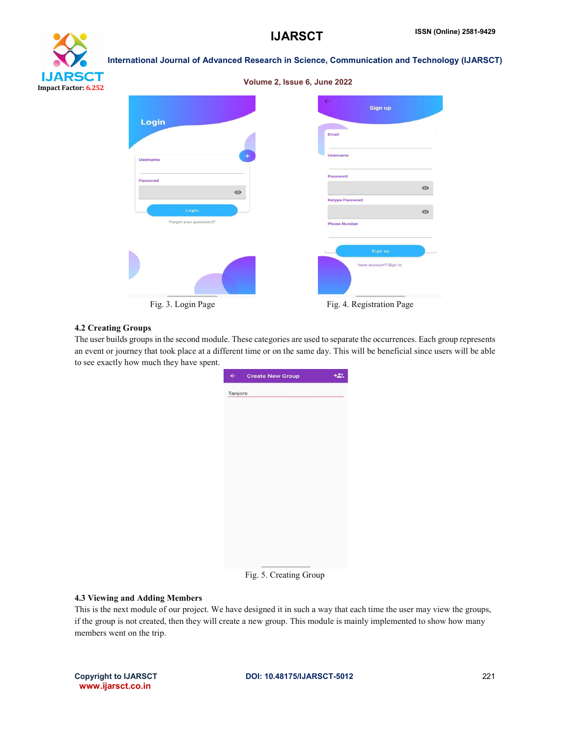**Retype Password** 

**Phone Number** 

have account? Sign In

 $\bullet$ 



## International Journal of Advanced Research in Science, Communication and Technology (IJARSCT) Volume 2, Issue 6, June 2022 Sign up Login **Email** Usernam Username Password Password  $\bullet$

 $\bullet$ 

Forgot your password?

## 4.2 Creating Groups

The user builds groups in the second module. These categories are used to separate the occurrences. Each group represents an event or journey that took place at a different time or on the same day. This will be beneficial since users will be able to see exactly how much they have spent.

Fig. 3. Login Page Fig. 4. Registration Page

| $\leftarrow$ | <b>Create New Group</b> | +2. |
|--------------|-------------------------|-----|
| Tanjore      |                         |     |
|              |                         |     |
|              |                         |     |
|              |                         |     |
|              |                         |     |
|              |                         |     |
|              |                         |     |
|              |                         |     |
|              |                         |     |
|              |                         |     |
|              |                         |     |
|              |                         |     |
|              |                         |     |
|              |                         |     |
|              |                         |     |
|              | Fig. 5. Creating Group  |     |

### 4.3 Viewing and Adding Members

This is the next module of our project. We have designed it in such a way that each time the user may view the groups, if the group is not created, then they will create a new group. This module is mainly implemented to show how many members went on the trip.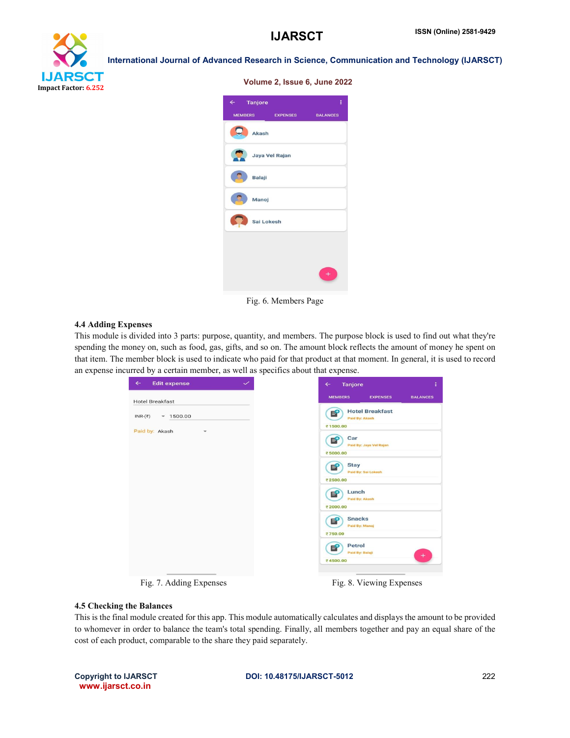# **IJARSCT** Impact Factor: 6.252

International Journal of Advanced Research in Science, Communication and Technology (IJARSCT)

| $\leftarrow$ Tanjore |                 | ŧ               |
|----------------------|-----------------|-----------------|
| <b>MEMBERS</b>       | <b>EXPENSES</b> | <b>BALANCES</b> |
| Akash                |                 |                 |
| Jaya Vel Rajan       |                 |                 |
| Balaji               |                 |                 |
| Manoj                |                 |                 |
| Sai Lokesh           |                 |                 |
|                      |                 |                 |
|                      |                 |                 |
|                      |                 |                 |

Fig. 6. Members Page

### 4.4 Adding Expenses

This module is divided into 3 parts: purpose, quantity, and members. The purpose block is used to find out what they're spending the money on, such as food, gas, gifts, and so on. The amount block reflects the amount of money he spent on that item. The member block is used to indicate who paid for that product at that moment. In general, it is used to record an expense incurred by a certain member, as well as specifics about that expense.

| <b>MEMBERS</b><br><b>EXPENSES</b><br><b>Hotel Breakfast</b><br><b>Hotel Breakfast</b><br>E<br>$-1500.00$<br>Paid By: Akash<br>₹1500.00<br>Paid by: Akash<br>$\checkmark$<br>Car<br>Б<br>Paid By: Jaya Vel Rajan<br>₹5000.00 | <b>Edit expense</b><br>$\checkmark$ | Tanjore<br>$\leftarrow$ |
|-----------------------------------------------------------------------------------------------------------------------------------------------------------------------------------------------------------------------------|-------------------------------------|-------------------------|
|                                                                                                                                                                                                                             |                                     |                         |
|                                                                                                                                                                                                                             | $INR-(\overline{\tau})$             |                         |
|                                                                                                                                                                                                                             |                                     |                         |
| <b>Stay</b><br>Е<br>Paid By: Sai Lokesh<br>₹2500.00                                                                                                                                                                         |                                     |                         |
| Lunch<br>Е<br>Paid By: Akash                                                                                                                                                                                                |                                     |                         |
| ₹2000.00<br><b>Snacks</b><br>E<br>Paid By: Manoj                                                                                                                                                                            |                                     |                         |
| ₹750.00<br>Petrol<br>E<br>Paid By: Balaji<br>₹4500.00                                                                                                                                                                       |                                     |                         |

Fig. 7. Adding Expenses Fig. 8. Viewing Expenses

### 4.5 Checking the Balances

This is the final module created for this app. This module automatically calculates and displays the amount to be provided to whomever in order to balance the team's total spending. Finally, all members together and pay an equal share of the cost of each product, comparable to the share they paid separately.

www.ijarsct.co.in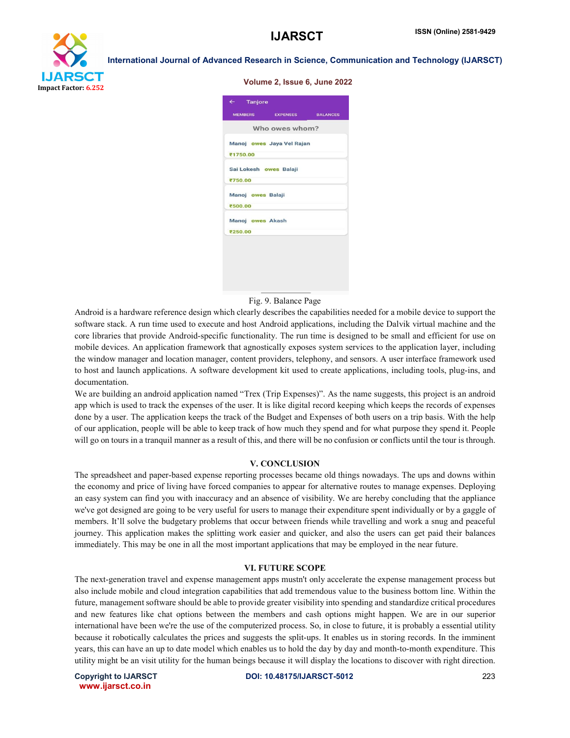

|  |  |  | <b>Volume 2, Issue 6, June 2022</b> |  |  |  |
|--|--|--|-------------------------------------|--|--|--|
|--|--|--|-------------------------------------|--|--|--|

| Who owes whom?<br>Manoj owes Jaya Vel Rajan<br>₹1750.00<br>Sai Lokesh owes Balaji<br>₹750.00<br>Manoj owes Balaji<br>₹500.00<br>Manoj owes Akash | MEMBERS EXPENSES BALANCES<br>₹250.00 | $\leftarrow$ Tanjore |  |
|--------------------------------------------------------------------------------------------------------------------------------------------------|--------------------------------------|----------------------|--|
|                                                                                                                                                  |                                      |                      |  |
|                                                                                                                                                  |                                      |                      |  |
|                                                                                                                                                  |                                      |                      |  |
|                                                                                                                                                  |                                      |                      |  |
|                                                                                                                                                  |                                      |                      |  |
|                                                                                                                                                  |                                      |                      |  |
|                                                                                                                                                  |                                      |                      |  |
|                                                                                                                                                  |                                      |                      |  |
|                                                                                                                                                  |                                      |                      |  |
|                                                                                                                                                  |                                      |                      |  |
|                                                                                                                                                  |                                      |                      |  |
|                                                                                                                                                  |                                      |                      |  |
|                                                                                                                                                  |                                      |                      |  |
|                                                                                                                                                  |                                      |                      |  |

Fig. 9. Balance Page

Android is a hardware reference design which clearly describes the capabilities needed for a mobile device to support the software stack. A run time used to execute and host Android applications, including the Dalvik virtual machine and the core libraries that provide Android-specific functionality. The run time is designed to be small and efficient for use on mobile devices. An application framework that agnostically exposes system services to the application layer, including the window manager and location manager, content providers, telephony, and sensors. A user interface framework used to host and launch applications. A software development kit used to create applications, including tools, plug-ins, and documentation.

We are building an android application named "Trex (Trip Expenses)". As the name suggests, this project is an android app which is used to track the expenses of the user. It is like digital record keeping which keeps the records of expenses done by a user. The application keeps the track of the Budget and Expenses of both users on a trip basis. With the help of our application, people will be able to keep track of how much they spend and for what purpose they spend it. People will go on tours in a tranquil manner as a result of this, and there will be no confusion or conflicts until the tour is through.

### V. CONCLUSION

The spreadsheet and paper-based expense reporting processes became old things nowadays. The ups and downs within the economy and price of living have forced companies to appear for alternative routes to manage expenses. Deploying an easy system can find you with inaccuracy and an absence of visibility. We are hereby concluding that the appliance we've got designed are going to be very useful for users to manage their expenditure spent individually or by a gaggle of members. It'll solve the budgetary problems that occur between friends while travelling and work a snug and peaceful journey. This application makes the splitting work easier and quicker, and also the users can get paid their balances immediately. This may be one in all the most important applications that may be employed in the near future.

### VI. FUTURE SCOPE

The next-generation travel and expense management apps mustn't only accelerate the expense management process but also include mobile and cloud integration capabilities that add tremendous value to the business bottom line. Within the future, management software should be able to provide greater visibility into spending and standardize critical procedures and new features like chat options between the members and cash options might happen. We are in our superior international have been we're the use of the computerized process. So, in close to future, it is probably a essential utility because it robotically calculates the prices and suggests the split-ups. It enables us in storing records. In the imminent years, this can have an up to date model which enables us to hold the day by day and month-to-month expenditure. This utility might be an visit utility for the human beings because it will display the locations to discover with right direction.

www.ijarsct.co.in